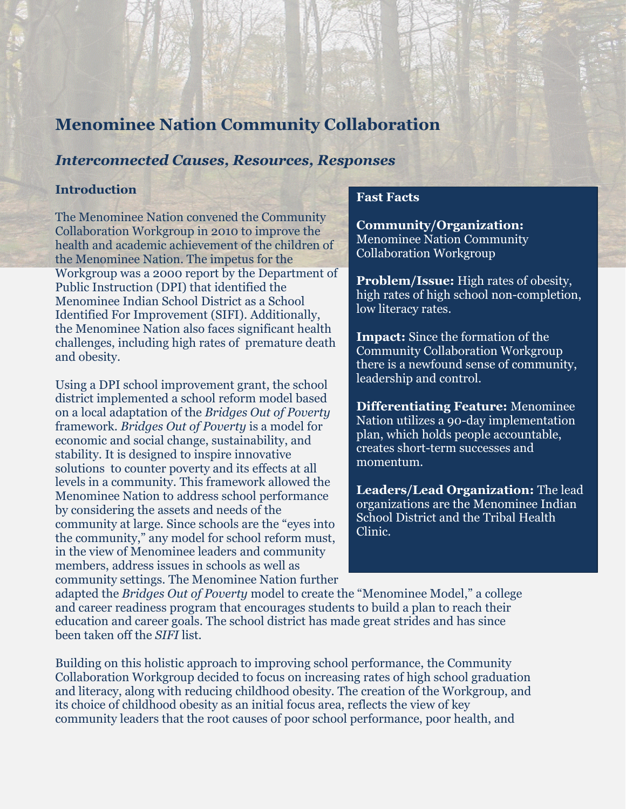# **Menominee Nation Community Collaboration**

## *Interconnected Causes, Resources, Responses*

#### **Introduction**

The Menominee Nation convened the Community Collaboration Workgroup in 2010 to improve the health and academic achievement of the children of the Menominee Nation. The impetus for the Workgroup was a 2000 report by the Department of Public Instruction (DPI) that identified the Menominee Indian School District as a School Identified For Improvement (SIFI). Additionally, the Menominee Nation also faces significant health challenges, including high rates of premature death and obesity.

Using a DPI school improvement grant, the school district implemented a school reform model based on a local adaptation of the *Bridges Out of Poverty* framework. *Bridges Out of Poverty* is a model for economic and social change, sustainability, and stability. It is designed to inspire innovative solutions to counter poverty and its effects at all levels in a community. This framework allowed the Menominee Nation to address school performance by considering the assets and needs of the community at large. Since schools are the "eyes into the community," any model for school reform must, in the view of Menominee leaders and community members, address issues in schools as well as community settings. The Menominee Nation further

#### **Fast Facts**

**Community/Organization:** Menominee Nation Community Collaboration Workgroup

**Problem/Issue:** High rates of obesity, high rates of high school non-completion, low literacy rates.

**Impact:** Since the formation of the Community Collaboration Workgroup there is a newfound sense of community, leadership and control.

**Differentiating Feature:** Menominee Nation utilizes a 90-day implementation plan, which holds people accountable, creates short-term successes and momentum.

**Leaders/Lead Organization:** The lead organizations are the Menominee Indian School District and the Tribal Health Clinic.

adapted the *Bridges Out of Poverty* model to create the "Menominee Model," a college and career readiness program that encourages students to build a plan to reach their education and career goals. The school district has made great strides and has since been taken off the *SIFI* list.

Building on this holistic approach to improving school performance, the Community Collaboration Workgroup decided to focus on increasing rates of high school graduation and literacy, along with reducing childhood obesity. The creation of the Workgroup, and its choice of childhood obesity as an initial focus area, reflects the view of key community leaders that the root causes of poor school performance, poor health, and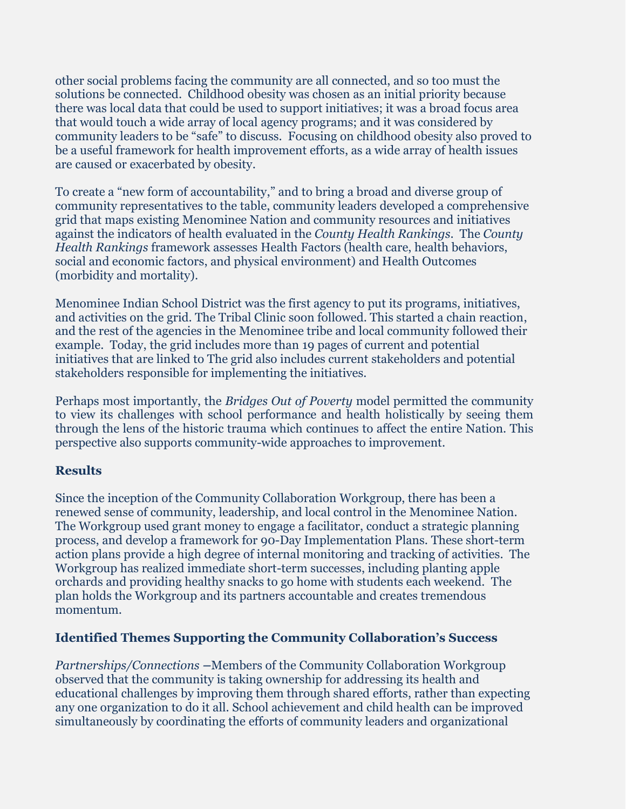other social problems facing the community are all connected, and so too must the solutions be connected. Childhood obesity was chosen as an initial priority because there was local data that could be used to support initiatives; it was a broad focus area that would touch a wide array of local agency programs; and it was considered by community leaders to be "safe" to discuss. Focusing on childhood obesity also proved to be a useful framework for health improvement efforts, as a wide array of health issues are caused or exacerbated by obesity.

To create a "new form of accountability," and to bring a broad and diverse group of community representatives to the table, community leaders developed a comprehensive grid that maps existing Menominee Nation and community resources and initiatives against the indicators of health evaluated in the *County Health Rankings*. The *County Health Rankings* framework assesses Health Factors (health care, health behaviors, social and economic factors, and physical environment) and Health Outcomes (morbidity and mortality).

Menominee Indian School District was the first agency to put its programs, initiatives, and activities on the grid. The Tribal Clinic soon followed. This started a chain reaction, and the rest of the agencies in the Menominee tribe and local community followed their example. Today, the grid includes more than 19 pages of current and potential initiatives that are linked to The grid also includes current stakeholders and potential stakeholders responsible for implementing the initiatives.

Perhaps most importantly, the *Bridges Out of Poverty* model permitted the community to view its challenges with school performance and health holistically by seeing them through the lens of the historic trauma which continues to affect the entire Nation. This perspective also supports community-wide approaches to improvement.

# **Results**

Since the inception of the Community Collaboration Workgroup, there has been a renewed sense of community, leadership, and local control in the Menominee Nation. The Workgroup used grant money to engage a facilitator, conduct a strategic planning process, and develop a framework for 90-Day Implementation Plans. These short-term action plans provide a high degree of internal monitoring and tracking of activities. The Workgroup has realized immediate short-term successes, including planting apple orchards and providing healthy snacks to go home with students each weekend. The plan holds the Workgroup and its partners accountable and creates tremendous momentum.

# **Identified Themes Supporting the Community Collaboration's Success**

*Partnerships/Connections –*Members of the Community Collaboration Workgroup observed that the community is taking ownership for addressing its health and educational challenges by improving them through shared efforts, rather than expecting any one organization to do it all. School achievement and child health can be improved simultaneously by coordinating the efforts of community leaders and organizational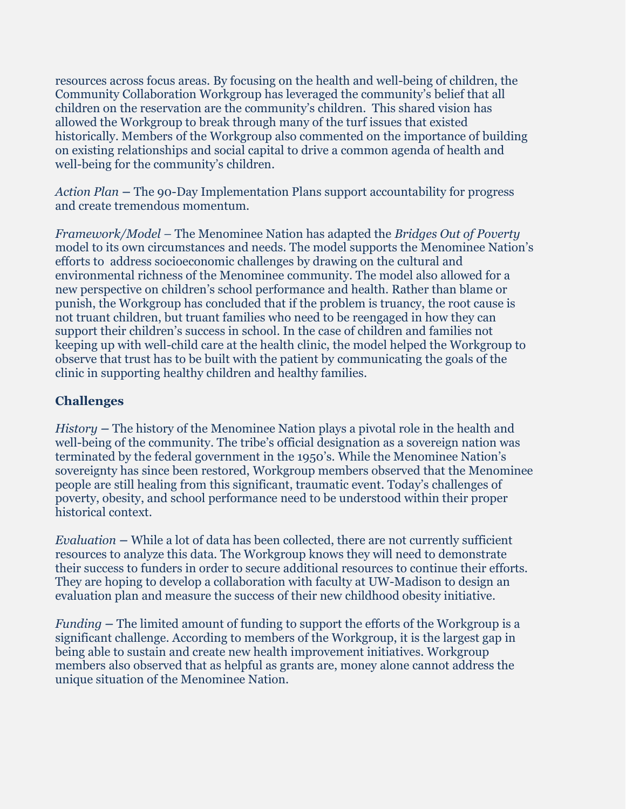resources across focus areas. By focusing on the health and well-being of children, the Community Collaboration Workgroup has leveraged the community's belief that all children on the reservation are the community's children. This shared vision has allowed the Workgroup to break through many of the turf issues that existed historically. Members of the Workgroup also commented on the importance of building on existing relationships and social capital to drive a common agenda of health and well-being for the community's children.

*Action Plan –* The 90-Day Implementation Plans support accountability for progress and create tremendous momentum.

*Framework/Model –* The Menominee Nation has adapted the *Bridges Out of Poverty* model to its own circumstances and needs. The model supports the Menominee Nation's efforts to address socioeconomic challenges by drawing on the cultural and environmental richness of the Menominee community. The model also allowed for a new perspective on children's school performance and health. Rather than blame or punish, the Workgroup has concluded that if the problem is truancy, the root cause is not truant children, but truant families who need to be reengaged in how they can support their children's success in school. In the case of children and families not keeping up with well-child care at the health clinic, the model helped the Workgroup to observe that trust has to be built with the patient by communicating the goals of the clinic in supporting healthy children and healthy families.

# **Challenges**

*History –* The history of the Menominee Nation plays a pivotal role in the health and well-being of the community. The tribe's official designation as a sovereign nation was terminated by the federal government in the 1950's. While the Menominee Nation's sovereignty has since been restored, Workgroup members observed that the Menominee people are still healing from this significant, traumatic event. Today's challenges of poverty, obesity, and school performance need to be understood within their proper historical context.

*Evaluation –* While a lot of data has been collected, there are not currently sufficient resources to analyze this data. The Workgroup knows they will need to demonstrate their success to funders in order to secure additional resources to continue their efforts. They are hoping to develop a collaboration with faculty at UW-Madison to design an evaluation plan and measure the success of their new childhood obesity initiative.

*Funding –* The limited amount of funding to support the efforts of the Workgroup is a significant challenge. According to members of the Workgroup, it is the largest gap in being able to sustain and create new health improvement initiatives. Workgroup members also observed that as helpful as grants are, money alone cannot address the unique situation of the Menominee Nation.